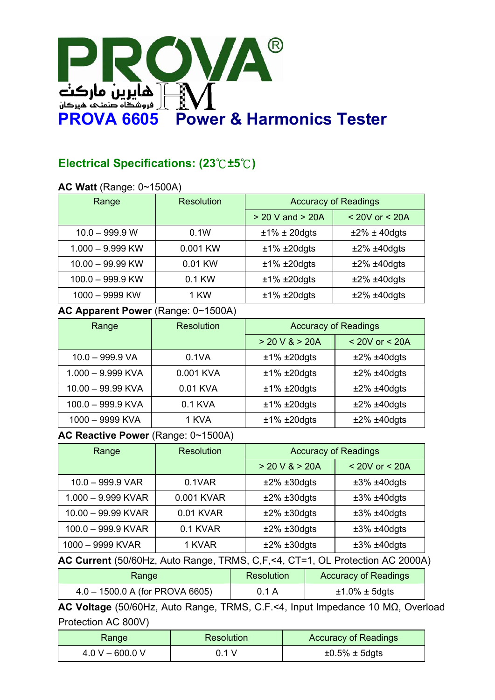

# **Electrical Specifications: (23**℃**±5**℃**)**

#### **AC Watt** (Range: 0~1500A)

| Range              | <b>Resolution</b> | <b>Accuracy of Readings</b> |                    |
|--------------------|-------------------|-----------------------------|--------------------|
|                    |                   | $>$ 20 V and $>$ 20A        | $< 20V$ or $< 20A$ |
| $10.0 - 999.9 W$   | 0.1W              | $±1\% ± 20$ dgts            | $±2\% ± 40$ dgts   |
| $1.000 - 9.999$ KW | 0.001 KW          | $±1\% ±20$ dgts             | $±2\% ±40$ dgts    |
| $10.00 - 99.99$ KW | 0.01 KW           | $±1\% ±20$ dgts             | $±2\% ±40$ dgts    |
| $100.0 - 999.9$ KW | 0.1 KW            | $±1\% ±20$ dgts             | $±2\% ±40$ dgts    |
| 1000 - 9999 KW     | 1 KW              | $±1\% ±20$ dgts             | $±2\% ±40$ dgts    |

#### **AC Apparent Power** (Range: 0~1500A)

| Range               | <b>Resolution</b> | <b>Accuracy of Readings</b> |                    |
|---------------------|-------------------|-----------------------------|--------------------|
|                     |                   | > 20 V & > 20A              | $<$ 20V or $<$ 20A |
| $10.0 - 999.9$ VA   | 0.1VA             | $±1\% ±20$ dgts             | $±2\% ±40$ dgts    |
| $1.000 - 9.999$ KVA | 0.001 KVA         | $±1\% ±20$ dgts             | $±2\% ±40$ dgts    |
| 10.00 - 99.99 KVA   | 0.01 KVA          | $±1\% ±20$ dgts             | $±2\% ±40$ dgts    |
| 100.0 - 999.9 KVA   | 0.1 KVA           | $±1\% ±20$ dgts             | $±2\% ±40$ dgts    |
| 1000 - 9999 KVA     | 1 KVA             | $±1\% ±20$ dgts             | $±2\% ±40$ dgts    |

#### **AC Reactive Power** (Range: 0~1500A)

| Range              | <b>Resolution</b> | <b>Accuracy of Readings</b> |                    |
|--------------------|-------------------|-----------------------------|--------------------|
|                    |                   | > 20 V & > 20A              | $<$ 20V or $<$ 20A |
| $10.0 - 999.9$ VAR | 0.1VAR            | $±2\% ±30$ dgts             | $±3\% ±40$ dgts    |
| 1.000 - 9.999 KVAR | 0.001 KVAR        | $±2\% ±30$ dgts             | $±3\% ±40$ dgts    |
| 10.00 - 99.99 KVAR | 0.01 KVAR         | $±2\% ±30$ dgts             | $±3\% ±40$ dgts    |
| 100.0 - 999.9 KVAR | 0.1 KVAR          | $±2\% ±30$ dgts             | $±3\% ±40$ dgts    |
| 1000 - 9999 KVAR   | 1 KVAR            | $±2\% ±30$ dgts             | $±3\% ±40$ dgts    |

#### **AC Current** (50/60Hz, Auto Range, TRMS, C,F,<4, CT=1, OL Protection AC 2000A)

| Range                             | Resolution | <b>Accuracy of Readings</b> |
|-----------------------------------|------------|-----------------------------|
| $4.0 - 1500.0$ A (for PROVA 6605) | 0.1 A      | $\pm 1.0\% \pm 5$ dgts      |

**AC Voltage** (50/60Hz, Auto Range, TRMS, C.F.<4, Input Impedance 10 MΩ, Overload Protection AC 800V)

| Range             | <b>Resolution</b> | <b>Accuracy of Readings</b> |
|-------------------|-------------------|-----------------------------|
| $4.0 V - 600.0 V$ | 0 1 V             | $\pm 0.5\% \pm 5$ dgts      |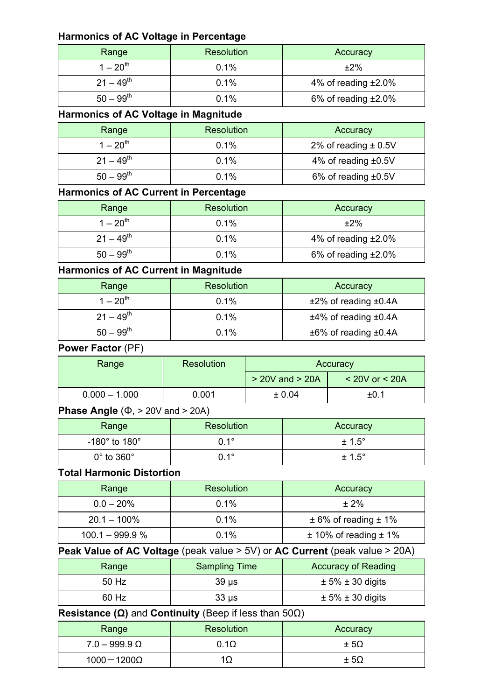#### **Harmonics of AC Voltage in Percentage**

| Range          | Resolution | Accuracy                  |
|----------------|------------|---------------------------|
| $1 - 20^{th}$  | 0.1%       | $±2\%$                    |
| $21 - 49^{th}$ | 0.1%       | 4% of reading $\pm 2.0\%$ |
| $50 - 99^{th}$ | 0.1%       | 6% of reading $±2.0%$     |

# **Harmonics of AC Voltage in Magnitude**

| Range          | Resolution | Accuracy                 |
|----------------|------------|--------------------------|
| $1 - 20^{th}$  | 0.1%       | 2% of reading $\pm$ 0.5V |
| $21 - 49^{th}$ | 0.1%       | 4% of reading $\pm 0.5V$ |
| $50 - 99^{th}$ | 0.1%       | 6% of reading $±0.5V$    |

#### **Harmonics of AC Current in Percentage**

| Range          | <b>Resolution</b> | Accuracy              |
|----------------|-------------------|-----------------------|
| $1 - 20^{th}$  | 0.1%              | $±2\%$                |
| $21 - 49^{th}$ | 0.1%              | 4% of reading $±2.0%$ |
| $50 - 99^{th}$ | 0.1%              | 6% of reading $±2.0%$ |

## **Harmonics of AC Current in Magnitude**

| Range          | Resolution | Accuracy                         |
|----------------|------------|----------------------------------|
| $1 - 20^{th}$  | $0.1\%$    | $±2\%$ of reading $±0.4A$        |
| $21 - 49^{th}$ | 0.1%       | $±4\%$ of reading $±0.4A$        |
| $50 - 99^{th}$ | 0.1%       | $\pm 6\%$ of reading $\pm 0.4$ A |

#### **Power Factor** (PF)

| Range           | Resolution | Accuracy            |                          |
|-----------------|------------|---------------------|--------------------------|
|                 |            | $>$ 20V and $>$ 20A | $\leq$ 20V or $\leq$ 20A |
| $0.000 - 1.000$ | 0.001      | $\pm 0.04$          | $\pm 0.1$                |

## **Phase Angle** (Φ, > 20V and > 20A)

| Range                             | <b>Resolution</b> | Accuracy        |
|-----------------------------------|-------------------|-----------------|
| -180 $^{\circ}$ to 180 $^{\circ}$ | $0.1^{\circ}$     | $\pm 1.5^\circ$ |
| $0^\circ$ to $360^\circ$          | $0.1^{\circ}$     | $\pm 1.5^\circ$ |

#### **Total Harmonic Distortion**

| Range             | Resolution | Accuracy                     |
|-------------------|------------|------------------------------|
| $0.0 - 20\%$      | 0.1%       | $± 2\%$                      |
| $20.1 - 100\%$    | 0.1%       | $\pm$ 6% of reading $\pm$ 1% |
| $100.1 - 999.9 %$ | 0.1%       | $± 10\%$ of reading $± 1\%$  |

# **Peak Value of AC Voltage** (peak value > 5V) or **AC Current** (peak value > 20A)

| Range | <b>Sampling Time</b> | <b>Accuracy of Reading</b> |
|-------|----------------------|----------------------------|
| 50 Hz | $39 \mu s$           | $\pm$ 5% $\pm$ 30 digits   |
| 60 Hz | $33 \mu s$           | $\pm$ 5% $\pm$ 30 digits   |

### **Resistance (Ω)** and **Continuity** (Beep if less than 50Ω)

| Range                  | <b>Resolution</b> | Accuracy      |
|------------------------|-------------------|---------------|
| $7.0 - 999.9 \Omega$   | 0.1 $\Omega$      | $\pm 5\Omega$ |
| 1000 $-$ 1200 $\Omega$ |                   | $\pm 5\Omega$ |